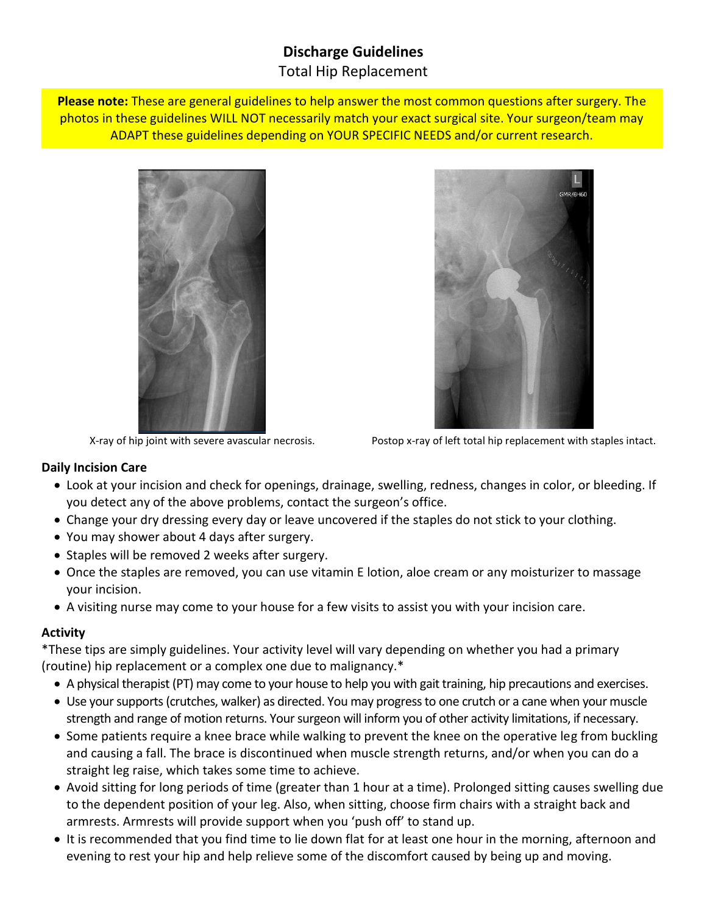# **Discharge Guidelines** Total Hip Replacement

**Please note:** These are general guidelines to help answer the most common questions after surgery. The photos in these guidelines WILL NOT necessarily match your exact surgical site. Your surgeon/team may ADAPT these guidelines depending on YOUR SPECIFIC NEEDS and/or current research.





X-ray of hip joint with severe avascular necrosis. Postop x-ray of left total hip replacement with staples intact.

### **Daily Incision Care**

- Look at your incision and check for openings, drainage, swelling, redness, changes in color, or bleeding. If you detect any of the above problems, contact the surgeon's office.
- Change your dry dressing every day or leave uncovered if the staples do not stick to your clothing.
- You may shower about 4 days after surgery.
- Staples will be removed 2 weeks after surgery.
- Once the staples are removed, you can use vitamin E lotion, aloe cream or any moisturizer to massage your incision.
- A visiting nurse may come to your house for a few visits to assist you with your incision care.

## **Activity**

\*These tips are simply guidelines. Your activity level will vary depending on whether you had a primary (routine) hip replacement or a complex one due to malignancy.\*

- A physical therapist (PT) may come to your house to help you with gait training, hip precautions and exercises.
- Use your supports (crutches, walker) as directed. You may progress to one crutch or a cane when your muscle strength and range of motion returns. Your surgeon will inform you of other activity limitations, if necessary.
- Some patients require a knee brace while walking to prevent the knee on the operative leg from buckling and causing a fall. The brace is discontinued when muscle strength returns, and/or when you can do a straight leg raise, which takes some time to achieve.
- Avoid sitting for long periods of time (greater than 1 hour at a time). Prolonged sitting causes swelling due to the dependent position of your leg. Also, when sitting, choose firm chairs with a straight back and armrests. Armrests will provide support when you 'push off' to stand up.
- It is recommended that you find time to lie down flat for at least one hour in the morning, afternoon and evening to rest your hip and help relieve some of the discomfort caused by being up and moving.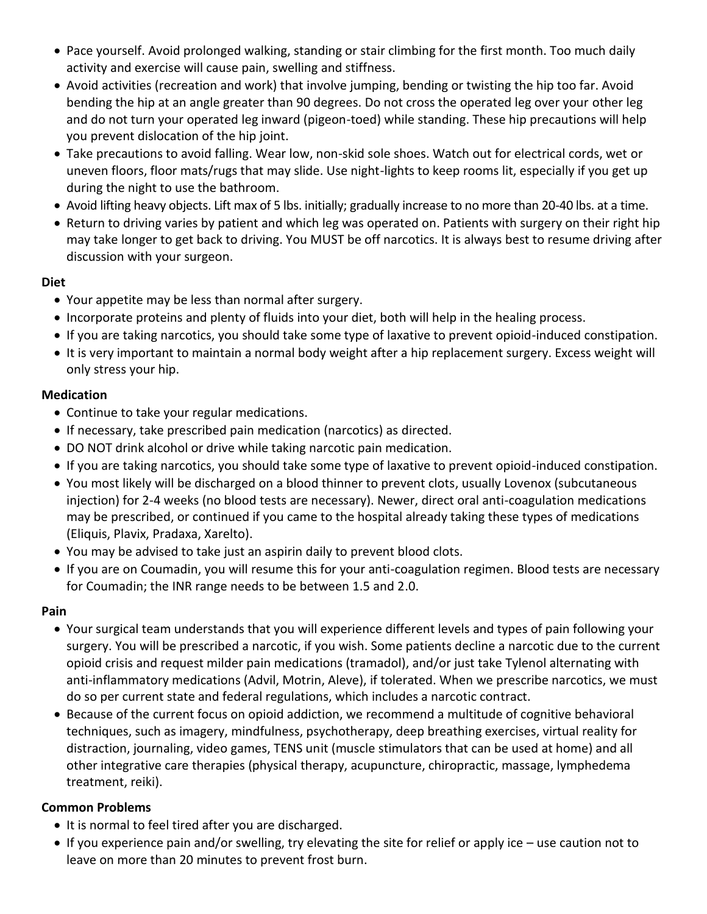- Pace yourself. Avoid prolonged walking, standing or stair climbing for the first month. Too much daily activity and exercise will cause pain, swelling and stiffness.
- Avoid activities (recreation and work) that involve jumping, bending or twisting the hip too far. Avoid bending the hip at an angle greater than 90 degrees. Do not cross the operated leg over your other leg and do not turn your operated leg inward (pigeon-toed) while standing. These hip precautions will help you prevent dislocation of the hip joint.
- Take precautions to avoid falling. Wear low, non-skid sole shoes. Watch out for electrical cords, wet or uneven floors, floor mats/rugs that may slide. Use night-lights to keep rooms lit, especially if you get up during the night to use the bathroom.
- Avoid lifting heavy objects. Lift max of 5 lbs. initially; gradually increase to no more than 20-40 lbs. at a time.
- Return to driving varies by patient and which leg was operated on. Patients with surgery on their right hip may take longer to get back to driving. You MUST be off narcotics. It is always best to resume driving after discussion with your surgeon.

## **Diet**

- Your appetite may be less than normal after surgery.
- Incorporate proteins and plenty of fluids into your diet, both will help in the healing process.
- If you are taking narcotics, you should take some type of laxative to prevent opioid-induced constipation.
- It is very important to maintain a normal body weight after a hip replacement surgery. Excess weight will only stress your hip.

## **Medication**

- Continue to take your regular medications.
- If necessary, take prescribed pain medication (narcotics) as directed.
- DO NOT drink alcohol or drive while taking narcotic pain medication.
- If you are taking narcotics, you should take some type of laxative to prevent opioid-induced constipation.
- You most likely will be discharged on a blood thinner to prevent clots, usually Lovenox (subcutaneous injection) for 2-4 weeks (no blood tests are necessary). Newer, direct oral anti-coagulation medications may be prescribed, or continued if you came to the hospital already taking these types of medications (Eliquis, Plavix, Pradaxa, Xarelto).
- You may be advised to take just an aspirin daily to prevent blood clots.
- If you are on Coumadin, you will resume this for your anti-coagulation regimen. Blood tests are necessary for Coumadin; the INR range needs to be between 1.5 and 2.0.

## **Pain**

- Your surgical team understands that you will experience different levels and types of pain following your surgery. You will be prescribed a narcotic, if you wish. Some patients decline a narcotic due to the current opioid crisis and request milder pain medications (tramadol), and/or just take Tylenol alternating with anti-inflammatory medications (Advil, Motrin, Aleve), if tolerated. When we prescribe narcotics, we must do so per current state and federal regulations, which includes a narcotic contract.
- Because of the current focus on opioid addiction, we recommend a multitude of cognitive behavioral techniques, such as imagery, mindfulness, psychotherapy, deep breathing exercises, virtual reality for distraction, journaling, video games, TENS unit (muscle stimulators that can be used at home) and all other integrative care therapies (physical therapy, acupuncture, chiropractic, massage, lymphedema treatment, reiki).

## **Common Problems**

- It is normal to feel tired after you are discharged.
- If you experience pain and/or swelling, try elevating the site for relief or apply ice use caution not to leave on more than 20 minutes to prevent frost burn.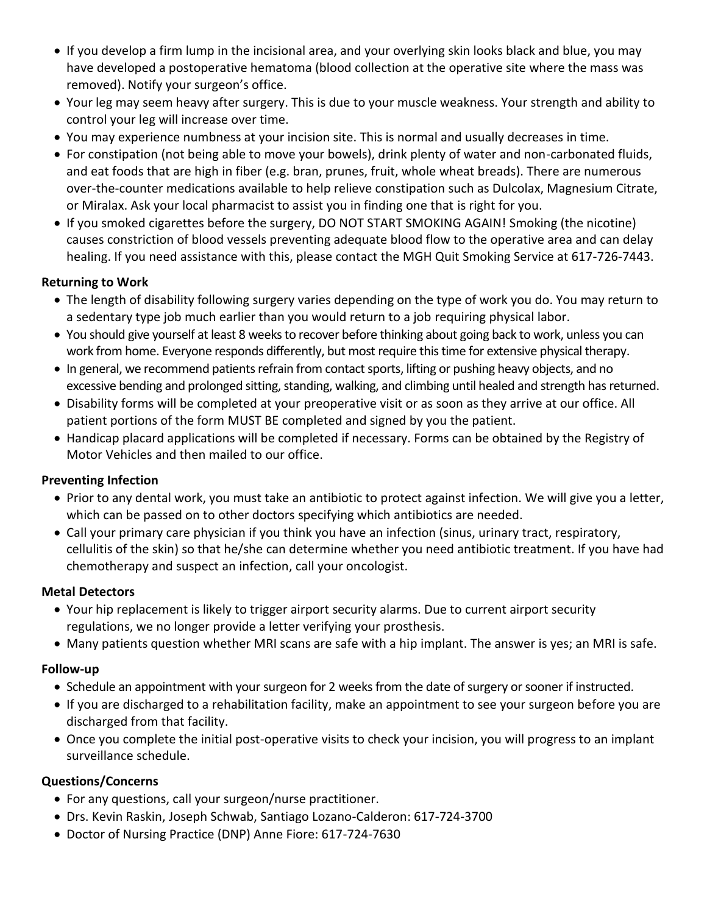- If you develop a firm lump in the incisional area, and your overlying skin looks black and blue, you may have developed a postoperative hematoma (blood collection at the operative site where the mass was removed). Notify your surgeon's office.
- Your leg may seem heavy after surgery. This is due to your muscle weakness. Your strength and ability to control your leg will increase over time.
- You may experience numbness at your incision site. This is normal and usually decreases in time.
- For constipation (not being able to move your bowels), drink plenty of water and non-carbonated fluids, and eat foods that are high in fiber (e.g. bran, prunes, fruit, whole wheat breads). There are numerous over-the-counter medications available to help relieve constipation such as Dulcolax, Magnesium Citrate, or Miralax. Ask your local pharmacist to assist you in finding one that is right for you.
- If you smoked cigarettes before the surgery, DO NOT START SMOKING AGAIN! Smoking (the nicotine) causes constriction of blood vessels preventing adequate blood flow to the operative area and can delay healing. If you need assistance with this, please contact the MGH Quit Smoking Service at 617-726-7443.

### **Returning to Work**

- The length of disability following surgery varies depending on the type of work you do. You may return to a sedentary type job much earlier than you would return to a job requiring physical labor.
- You should give yourself at least 8 weeks to recover before thinking about going back to work, unless you can work from home. Everyone responds differently, but most require this time for extensive physical therapy.
- In general, we recommend patients refrain from contact sports, lifting or pushing heavy objects, and no excessive bending and prolonged sitting, standing, walking, and climbing until healed and strength has returned.
- Disability forms will be completed at your preoperative visit or as soon as they arrive at our office. All patient portions of the form MUST BE completed and signed by you the patient.
- Handicap placard applications will be completed if necessary. Forms can be obtained by the Registry of Motor Vehicles and then mailed to our office.

### **Preventing Infection**

- Prior to any dental work, you must take an antibiotic to protect against infection. We will give you a letter, which can be passed on to other doctors specifying which antibiotics are needed.
- Call your primary care physician if you think you have an infection (sinus, urinary tract, respiratory, cellulitis of the skin) so that he/she can determine whether you need antibiotic treatment. If you have had chemotherapy and suspect an infection, call your oncologist.

#### **Metal Detectors**

- Your hip replacement is likely to trigger airport security alarms. Due to current airport security regulations, we no longer provide a letter verifying your prosthesis.
- Many patients question whether MRI scans are safe with a hip implant. The answer is yes; an MRI is safe.

### **Follow-up**

- Schedule an appointment with your surgeon for 2 weeks from the date of surgery or sooner if instructed.
- If you are discharged to a rehabilitation facility, make an appointment to see your surgeon before you are discharged from that facility.
- Once you complete the initial post-operative visits to check your incision, you will progress to an implant surveillance schedule.

### **Questions/Concerns**

- For any questions, call your surgeon/nurse practitioner.
- Drs. Kevin Raskin, Joseph Schwab, Santiago Lozano-Calderon: 617-724-3700
- Doctor of Nursing Practice (DNP) Anne Fiore: 617-724-7630